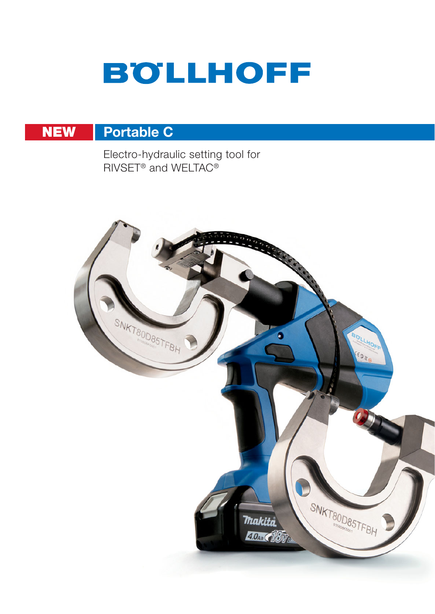# **BOLLHOFF**

#### Portable C **NEW**

Electro-hydraulic setting tool for RIVSET<sup>®</sup> and WELTAC<sup>®</sup>

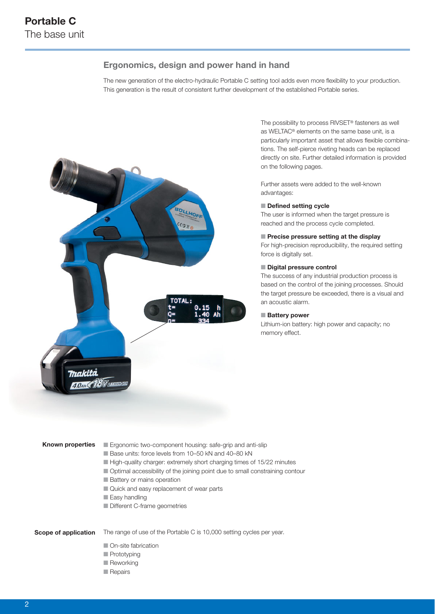### Ergonomics, design and power hand in hand

The new generation of the electro-hydraulic Portable C setting tool adds even more flexibility to your production. This generation is the result of consistent further development of the established Portable series.



The possibility to process RIVSET® fasteners as well as WELTAC® elements on the same base unit, is a particularly important asset that allows flexible combinations. The self-pierce riveting heads can be replaced directly on site. Further detailed information is provided on the following pages.

Further assets were added to the well-known advantages:

#### $\blacksquare$  Defined setting cycle

The user is informed when the target pressure is reached and the process cycle completed.

#### $\blacksquare$  Precise pressure setting at the display

For high-precision reproducibility, the required setting force is digitally set.

#### Digital pressure control

The success of any industrial production process is based on the control of the joining processes. Should the target pressure be exceeded, there is a visual and an acoustic alarm.

#### Battery power

Lithium-ion battery: high power and capacity; no memory effect.

#### Known properties

- **E** Ergonomic two-component housing: safe-grip and anti-slip
- Base units: force levels from 10-50 kN and 40-80 kN
- $\blacksquare$  High-quality charger: extremely short charging times of 15/22 minutes
- $\blacksquare$  Optimal accessibility of the joining point due to small constraining contour
- **n** Battery or mains operation
- **n** Quick and easy replacement of wear parts
- $\blacksquare$  Easy handling
- **n** Different C-frame geometries

#### Scope of application

- The range of use of the Portable C is 10,000 setting cycles per year.
	- **n** On-site fabrication
	- **n** Prototyping
	- **n** Reworking
	- $\blacksquare$  Repairs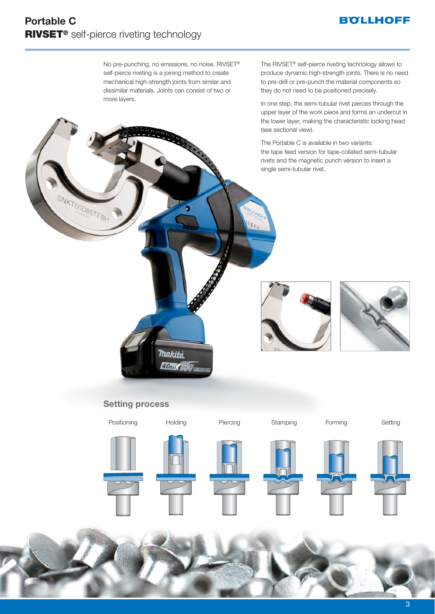## **BOLLHOFF**

# Portable C RIVSET® self-pierce riveting technology

SNKT80D85TFBH

No pre-punching, no emissions, no noise. RIVSET® self-pierce riveting is a joining method to create mechanical high-strength joints from similar and dissimilar materials. Joints can consist of two or more layers.

The RIVSET® self-pierce riveting technology allows to produce dynamic high-strength joints. There is no need to pre-drill or pre-punch the material components so they do not need to be positioned precisely.

In one step, the semi-tubular rivet pierces through the upper layer of the work piece and forms an undercut in the lower layer, making the characteristic locking head (see sectional view).

The Portable C is available in two variants: the tape feed version for tape-collated semi-tubular rivets and the magnetic punch version to insert a single semi-tubular rivet.





## Setting process

**Thakita 4.0Ab (18V)** 

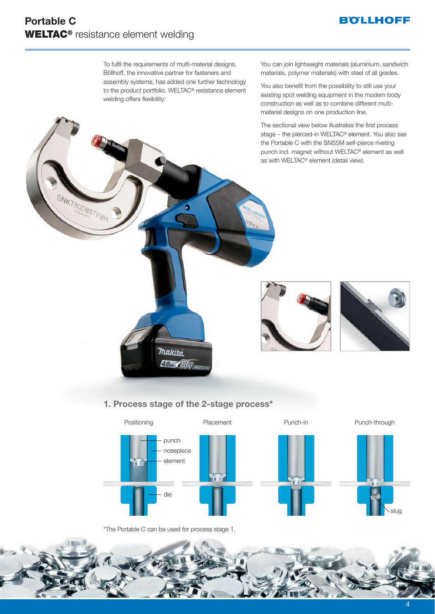## **BOLLHOFF**

SNKT80D85TFBH

To fulfil the requirements of multi-material designs, Böllhoff, the innovative partner for fasteners and assembly systems, has added one further technology to the product portfolio. WELTAC® resistance element welding offers flexibility:

You can join lightweight materials (aluminium, sandwich materials, polymer materials) with steel of all grades.

You also benefit from the possibility to still use your existing spot welding equipment in the modern body construction as well as to combine different multimaterial designs on one production line.

The sectional view below illustrates the first process stage – the pierced-in WELTAC® element. You also see the Portable C with the SNS5M self-pierce riveting punch incl. magnet without WELTAC® element as well as with WELTAC® element (detail view).





## 1. Process stage of the 2-stage process\*

**Thakita**  $4.0$  and  $7.8$   $V$  and



\*The Portable C can be used for process stage 1.

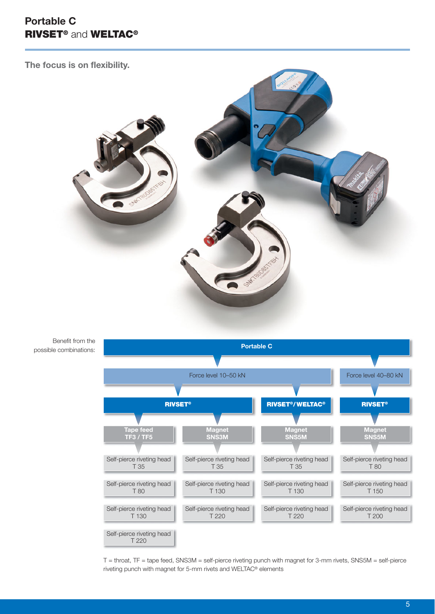# Portable C RIVSET® and WELTAC®

The focus is on flexibility.



Benefit from the possible combinations:



T = throat, TF = tape feed, SNS3M = self-pierce riveting punch with magnet for 3-mm rivets, SNS5M = self-pierce riveting punch with magnet for 5-mm rivets and WELTAC® elements